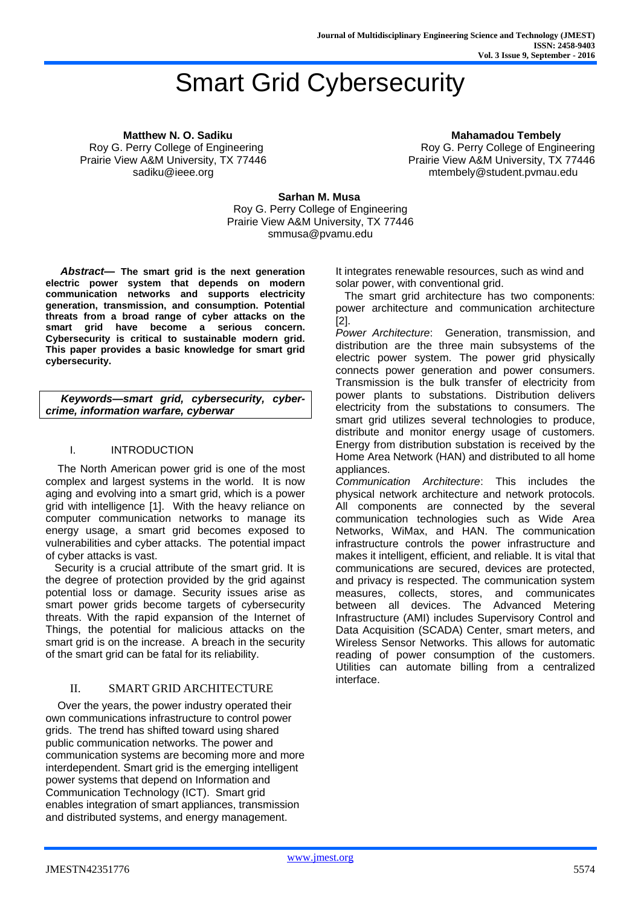# Smart Grid Cybersecurity

**Matthew N. O. Sadiku** Roy G. Perry College of Engineering Prairie View A&M University, TX 77446 sadiku@ieee.org

**Mahamadou Tembely** Roy G. Perry College of Engineering Prairie View A&M University, TX 77446 [mtembely@student.pvmau.edu](mailto:mtembely@student.pvmau.edu)

**Sarhan M. Musa**

Roy G. Perry College of Engineering Prairie View A&M University, TX 77446 smmusa@pvamu.edu

*Abstract***— The smart grid is the next generation electric power system that depends on modern communication networks and supports electricity generation, transmission, and consumption. Potential threats from a broad range of cyber attacks on the smart grid have become a serious concern. Cybersecurity is critical to sustainable modern grid. This paper provides a basic knowledge for smart grid cybersecurity.**

*Keywords—smart grid, cybersecurity, cybercrime, information warfare, cyberwar*

### I. INTRODUCTION

 The North American power grid is one of the most complex and largest systems in the world. It is now aging and evolving into a smart grid, which is a power grid with intelligence [1]. With the heavy reliance on computer communication networks to manage its energy usage, a smart grid becomes exposed to vulnerabilities and cyber attacks. The potential impact of cyber attacks is vast.

 Security is a crucial attribute of the smart grid. It is the degree of protection provided by the grid against potential loss or damage. Security issues arise as smart power grids become targets of cybersecurity threats. With the rapid expansion of the Internet of Things, the potential for malicious attacks on the smart grid is on the increase. A breach in the security of the smart grid can be fatal for its reliability.

## II. SMART GRID ARCHITECTURE

 Over the years, the power industry operated their own communications infrastructure to control power grids. The trend has shifted toward using shared public communication networks. The power and communication systems are becoming more and more interdependent. Smart grid is the emerging intelligent power systems that depend on Information and Communication Technology (ICT). Smart grid enables integration of smart appliances, transmission and distributed systems, and energy management.

It integrates renewable resources, such as wind and solar power, with conventional grid.

 The smart grid architecture has two components: power architecture and communication architecture [2].

*Power Architecture*: Generation, transmission, and distribution are the three main subsystems of the electric power system. The power grid physically connects power generation and power consumers. Transmission is the bulk transfer of electricity from power plants to substations. Distribution delivers electricity from the substations to consumers. The smart grid utilizes several technologies to produce, distribute and monitor energy usage of customers. Energy from distribution substation is received by the Home Area Network (HAN) and distributed to all home appliances.

*Communication Architecture*: This includes the physical network architecture and network protocols. All components are connected by the several communication technologies such as Wide Area Networks, WiMax, and HAN. The communication infrastructure controls the power infrastructure and makes it intelligent, efficient, and reliable. It is vital that communications are secured, devices are protected, and privacy is respected. The communication system measures, collects, stores, and communicates between all devices. The Advanced Metering Infrastructure (AMI) includes Supervisory Control and Data Acquisition (SCADA) Center, smart meters, and Wireless Sensor Networks. This allows for automatic reading of power consumption of the customers. Utilities can automate billing from a centralized interface.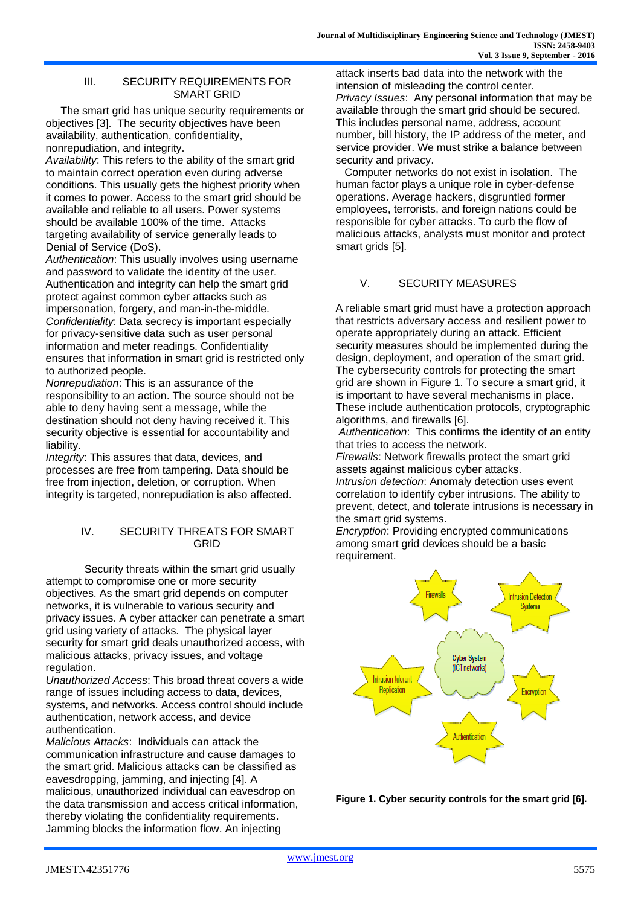### III. SECURITY REQUIREMENTS FOR SMART GRID

 The smart grid has unique security requirements or objectives [3]. The security objectives have been availability, authentication, confidentiality, nonrepudiation, and integrity.

*Availability*: This refers to the ability of the smart grid to maintain correct operation even during adverse conditions. This usually gets the highest priority when it comes to power. Access to the smart grid should be available and reliable to all users. Power systems should be available 100% of the time. Attacks targeting availability of service generally leads to Denial of Service (DoS).

*Authentication*: This usually involves using username and password to validate the identity of the user. Authentication and integrity can help the smart grid protect against common cyber attacks such as impersonation, forgery, and man-in-the-middle. *Confidentiality*: Data secrecy is important especially for privacy-sensitive data such as user personal information and meter readings. Confidentiality ensures that information in smart grid is restricted only to authorized people.

*Nonrepudiation*: This is an assurance of the responsibility to an action. The source should not be able to deny having sent a message, while the destination should not deny having received it. This security objective is essential for accountability and liability.

*Integrity*: This assures that data, devices, and processes are free from tampering. Data should be free from injection, deletion, or corruption. When integrity is targeted, nonrepudiation is also affected.

# IV. SECURITY THREATS FOR SMART GRID

Security threats within the smart grid usually attempt to compromise one or more security objectives. As the smart grid depends on computer networks, it is vulnerable to various security and privacy issues. A cyber attacker can penetrate a smart grid using variety of attacks. The physical layer security for smart grid deals unauthorized access, with malicious attacks, privacy issues, and voltage regulation.

*Unauthorized Access*: This broad threat covers a wide range of issues including access to data, devices, systems, and networks. Access control should include authentication, network access, and device authentication.

*Malicious Attacks*: Individuals can attack the communication infrastructure and cause damages to the smart grid. Malicious attacks can be classified as eavesdropping, jamming, and injecting [4]. A malicious, unauthorized individual can eavesdrop on the data transmission and access critical information, thereby violating the confidentiality requirements. Jamming blocks the information flow. An injecting

attack inserts bad data into the network with the intension of misleading the control center. *Privacy Issues*: Any personal information that may be available through the smart grid should be secured. This includes personal name, address, account number, bill history, the IP address of the meter, and service provider. We must strike a balance between security and privacy.

Computer networks do not exist in isolation. The human factor plays a unique role in cyber-defense operations. Average hackers, disgruntled former employees, terrorists, and foreign nations could be responsible for cyber attacks. To curb the flow of malicious attacks, analysts must monitor and protect smart grids [5].

# V. SECURITY MEASURES

A reliable smart grid must have a protection approach that restricts adversary access and resilient power to operate appropriately during an attack. Efficient security measures should be implemented during the design, deployment, and operation of the smart grid. The cybersecurity controls for protecting the smart grid are shown in Figure 1. To secure a smart grid, it is important to have several mechanisms in place. These include authentication protocols, cryptographic algorithms, and firewalls [6].

*Authentication*: This confirms the identity of an entity that tries to access the network.

*Firewalls*: Network firewalls protect the smart grid assets against malicious cyber attacks.

*Intrusion detection*: Anomaly detection uses event correlation to identify cyber intrusions. The ability to prevent, detect, and tolerate intrusions is necessary in the smart grid systems.

*Encryption*: Providing encrypted communications among smart grid devices should be a basic requirement.



**Figure 1. Cyber security controls for the smart grid [6].**